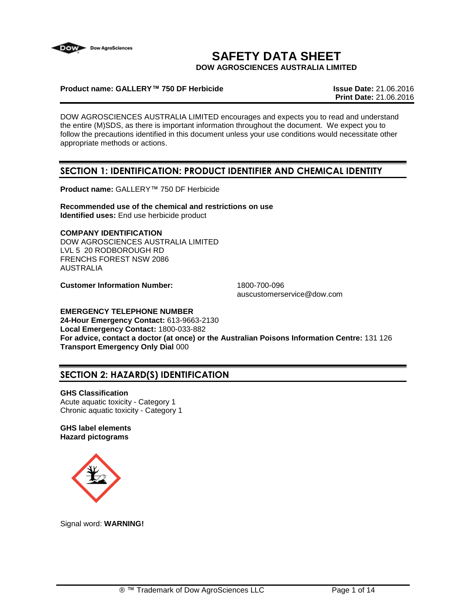

# **SAFETY DATA SHEET**

**DOW AGROSCIENCES AUSTRALIA LIMITED**

### **Product name: GALLERY™ 750 DF Herbicide Issue Date:** 21.06.2016

**Print Date:** 21.06.2016

DOW AGROSCIENCES AUSTRALIA LIMITED encourages and expects you to read and understand the entire (M)SDS, as there is important information throughout the document. We expect you to follow the precautions identified in this document unless your use conditions would necessitate other appropriate methods or actions.

# **SECTION 1: IDENTIFICATION: PRODUCT IDENTIFIER AND CHEMICAL IDENTITY**

**Product name:** GALLERY™ 750 DF Herbicide

**Recommended use of the chemical and restrictions on use Identified uses:** End use herbicide product

**COMPANY IDENTIFICATION** DOW AGROSCIENCES AUSTRALIA LIMITED LVL 5 20 RODBOROUGH RD FRENCHS FOREST NSW 2086 AUSTRALIA

**Customer Information Number:** 1800-700-096

auscustomerservice@dow.com

# **EMERGENCY TELEPHONE NUMBER**

**24-Hour Emergency Contact:** 613-9663-2130 **Local Emergency Contact:** 1800-033-882 **For advice, contact a doctor (at once) or the Australian Poisons Information Centre:** 131 126 **Transport Emergency Only Dial** 000

# **SECTION 2: HAZARD(S) IDENTIFICATION**

### **GHS Classification**

Acute aquatic toxicity - Category 1 Chronic aquatic toxicity - Category 1

### **GHS label elements Hazard pictograms**



Signal word: **WARNING!**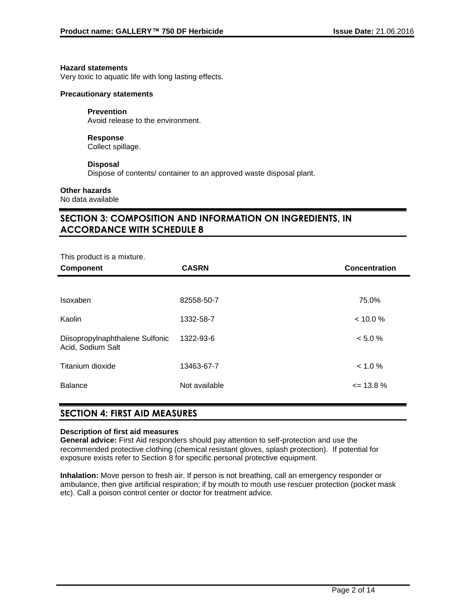#### **Hazard statements**

Very toxic to aquatic life with long lasting effects.

#### **Precautionary statements**

#### **Prevention**

Avoid release to the environment.

# **Response**

Collect spillage.

### **Disposal**

Dispose of contents/ container to an approved waste disposal plant.

### **Other hazards**

No data available

# **SECTION 3: COMPOSITION AND INFORMATION ON INGREDIENTS, IN ACCORDANCE WITH SCHEDULE 8**

| This product is a mixture.                           |               |                      |
|------------------------------------------------------|---------------|----------------------|
| <b>Component</b>                                     | <b>CASRN</b>  | <b>Concentration</b> |
|                                                      |               |                      |
| Isoxaben                                             | 82558-50-7    | 75.0%                |
| Kaolin                                               | 1332-58-7     | < 10.0 %             |
| Diisopropylnaphthalene Sulfonic<br>Acid, Sodium Salt | 1322-93-6     | < 5.0 %              |
| Titanium dioxide                                     | 13463-67-7    | < 1.0 %              |
| <b>Balance</b>                                       | Not available | $\leq$ 13.8 %        |

## **SECTION 4: FIRST AID MEASURES**

### **Description of first aid measures**

**General advice:** First Aid responders should pay attention to self-protection and use the recommended protective clothing (chemical resistant gloves, splash protection). If potential for exposure exists refer to Section 8 for specific personal protective equipment.

**Inhalation:** Move person to fresh air. If person is not breathing, call an emergency responder or ambulance, then give artificial respiration; if by mouth to mouth use rescuer protection (pocket mask etc). Call a poison control center or doctor for treatment advice.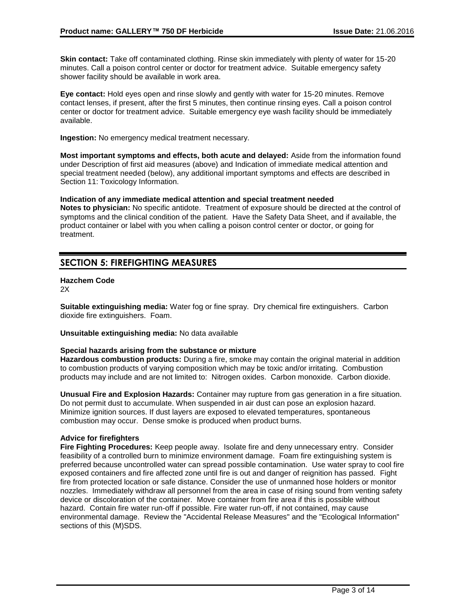**Skin contact:** Take off contaminated clothing. Rinse skin immediately with plenty of water for 15-20 minutes. Call a poison control center or doctor for treatment advice. Suitable emergency safety shower facility should be available in work area.

**Eye contact:** Hold eyes open and rinse slowly and gently with water for 15-20 minutes. Remove contact lenses, if present, after the first 5 minutes, then continue rinsing eyes. Call a poison control center or doctor for treatment advice. Suitable emergency eye wash facility should be immediately available.

**Ingestion:** No emergency medical treatment necessary.

**Most important symptoms and effects, both acute and delayed:** Aside from the information found under Description of first aid measures (above) and Indication of immediate medical attention and special treatment needed (below), any additional important symptoms and effects are described in Section 11: Toxicology Information.

**Indication of any immediate medical attention and special treatment needed**

**Notes to physician:** No specific antidote. Treatment of exposure should be directed at the control of symptoms and the clinical condition of the patient. Have the Safety Data Sheet, and if available, the product container or label with you when calling a poison control center or doctor, or going for treatment.

# **SECTION 5: FIREFIGHTING MEASURES**

# **Hazchem Code**

 $2X$ 

**Suitable extinguishing media:** Water fog or fine spray. Dry chemical fire extinguishers. Carbon dioxide fire extinguishers. Foam.

**Unsuitable extinguishing media:** No data available

### **Special hazards arising from the substance or mixture**

**Hazardous combustion products:** During a fire, smoke may contain the original material in addition to combustion products of varying composition which may be toxic and/or irritating. Combustion products may include and are not limited to: Nitrogen oxides. Carbon monoxide. Carbon dioxide.

**Unusual Fire and Explosion Hazards:** Container may rupture from gas generation in a fire situation. Do not permit dust to accumulate. When suspended in air dust can pose an explosion hazard. Minimize ignition sources. If dust layers are exposed to elevated temperatures, spontaneous combustion may occur. Dense smoke is produced when product burns.

### **Advice for firefighters**

**Fire Fighting Procedures:** Keep people away. Isolate fire and deny unnecessary entry. Consider feasibility of a controlled burn to minimize environment damage. Foam fire extinguishing system is preferred because uncontrolled water can spread possible contamination. Use water spray to cool fire exposed containers and fire affected zone until fire is out and danger of reignition has passed. Fight fire from protected location or safe distance. Consider the use of unmanned hose holders or monitor nozzles. Immediately withdraw all personnel from the area in case of rising sound from venting safety device or discoloration of the container. Move container from fire area if this is possible without hazard. Contain fire water run-off if possible. Fire water run-off, if not contained, may cause environmental damage. Review the "Accidental Release Measures" and the "Ecological Information" sections of this (M)SDS.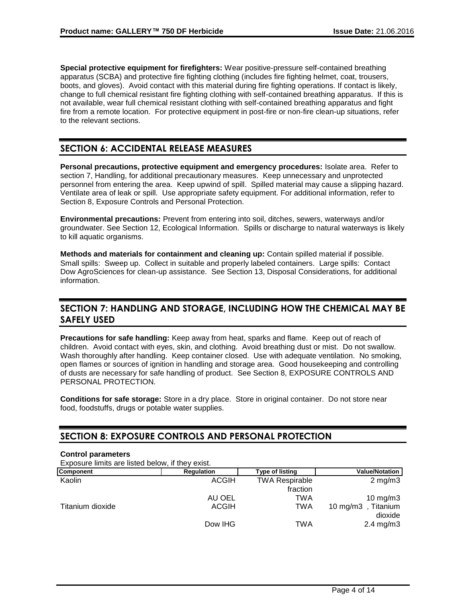**Special protective equipment for firefighters:** Wear positive-pressure self-contained breathing apparatus (SCBA) and protective fire fighting clothing (includes fire fighting helmet, coat, trousers, boots, and gloves). Avoid contact with this material during fire fighting operations. If contact is likely, change to full chemical resistant fire fighting clothing with self-contained breathing apparatus. If this is not available, wear full chemical resistant clothing with self-contained breathing apparatus and fight fire from a remote location. For protective equipment in post-fire or non-fire clean-up situations, refer to the relevant sections.

# **SECTION 6: ACCIDENTAL RELEASE MEASURES**

**Personal precautions, protective equipment and emergency procedures:** Isolate area. Refer to section 7, Handling, for additional precautionary measures. Keep unnecessary and unprotected personnel from entering the area. Keep upwind of spill. Spilled material may cause a slipping hazard. Ventilate area of leak or spill. Use appropriate safety equipment. For additional information, refer to Section 8, Exposure Controls and Personal Protection.

**Environmental precautions:** Prevent from entering into soil, ditches, sewers, waterways and/or groundwater. See Section 12, Ecological Information. Spills or discharge to natural waterways is likely to kill aquatic organisms.

**Methods and materials for containment and cleaning up:** Contain spilled material if possible. Small spills: Sweep up. Collect in suitable and properly labeled containers. Large spills: Contact Dow AgroSciences for clean-up assistance. See Section 13, Disposal Considerations, for additional information.

# **SECTION 7: HANDLING AND STORAGE, INCLUDING HOW THE CHEMICAL MAY BE SAFELY USED**

**Precautions for safe handling:** Keep away from heat, sparks and flame. Keep out of reach of children. Avoid contact with eyes, skin, and clothing. Avoid breathing dust or mist. Do not swallow. Wash thoroughly after handling. Keep container closed. Use with adequate ventilation. No smoking, open flames or sources of ignition in handling and storage area. Good housekeeping and controlling of dusts are necessary for safe handling of product. See Section 8, EXPOSURE CONTROLS AND PERSONAL PROTECTION.

**Conditions for safe storage:** Store in a dry place. Store in original container. Do not store near food, foodstuffs, drugs or potable water supplies.

# **SECTION 8: EXPOSURE CONTROLS AND PERSONAL PROTECTION**

### **Control parameters**

Exposure limits are listed below, if they exist.

| <b>Component</b> | <b>Regulation</b> | Type of listing       | <b>Value/Notation</b>                |
|------------------|-------------------|-----------------------|--------------------------------------|
| Kaolin           | <b>ACGIH</b>      | <b>TWA Respirable</b> | $2 \text{ mg/m}$ 3                   |
|                  |                   | fraction              |                                      |
|                  | AU OEL            | TWA                   | 10 mg/m $3$                          |
| Titanium dioxide | <b>ACGIH</b>      | TWA                   | 10 mg/m $3$<br>, Titanium<br>dioxide |
|                  | Dow IHG           | TWA                   | $2.4 \text{ mg/m}$ 3                 |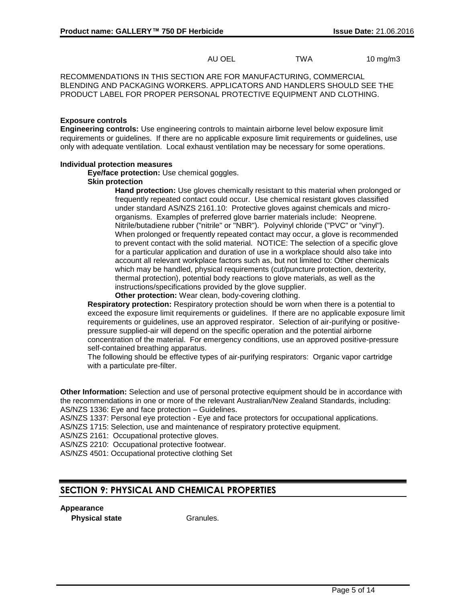AU OEL TWA 10 mg/m3

RECOMMENDATIONS IN THIS SECTION ARE FOR MANUFACTURING, COMMERCIAL BLENDING AND PACKAGING WORKERS. APPLICATORS AND HANDLERS SHOULD SEE THE PRODUCT LABEL FOR PROPER PERSONAL PROTECTIVE EQUIPMENT AND CLOTHING.

#### **Exposure controls**

**Engineering controls:** Use engineering controls to maintain airborne level below exposure limit requirements or guidelines. If there are no applicable exposure limit requirements or guidelines, use only with adequate ventilation. Local exhaust ventilation may be necessary for some operations.

#### **Individual protection measures**

**Eye/face protection:** Use chemical goggles.

### **Skin protection**

**Hand protection:** Use gloves chemically resistant to this material when prolonged or frequently repeated contact could occur. Use chemical resistant gloves classified under standard AS/NZS 2161.10: Protective gloves against chemicals and microorganisms. Examples of preferred glove barrier materials include: Neoprene. Nitrile/butadiene rubber ("nitrile" or "NBR"). Polyvinyl chloride ("PVC" or "vinyl"). When prolonged or frequently repeated contact may occur, a glove is recommended to prevent contact with the solid material. NOTICE: The selection of a specific glove for a particular application and duration of use in a workplace should also take into account all relevant workplace factors such as, but not limited to: Other chemicals which may be handled, physical requirements (cut/puncture protection, dexterity, thermal protection), potential body reactions to glove materials, as well as the instructions/specifications provided by the glove supplier.

**Other protection:** Wear clean, body-covering clothing.

**Respiratory protection:** Respiratory protection should be worn when there is a potential to exceed the exposure limit requirements or guidelines. If there are no applicable exposure limit requirements or guidelines, use an approved respirator. Selection of air-purifying or positivepressure supplied-air will depend on the specific operation and the potential airborne concentration of the material. For emergency conditions, use an approved positive-pressure self-contained breathing apparatus.

The following should be effective types of air-purifying respirators: Organic vapor cartridge with a particulate pre-filter.

**Other Information:** Selection and use of personal protective equipment should be in accordance with the recommendations in one or more of the relevant Australian/New Zealand Standards, including: AS/NZS 1336: Eye and face protection – Guidelines.

AS/NZS 1337: Personal eye protection - Eye and face protectors for occupational applications.

AS/NZS 1715: Selection, use and maintenance of respiratory protective equipment.

AS/NZS 2161: Occupational protective gloves.

AS/NZS 2210: Occupational protective footwear.

AS/NZS 4501: Occupational protective clothing Set

# **SECTION 9: PHYSICAL AND CHEMICAL PROPERTIES**

**Appearance**

**Physical state** Granules.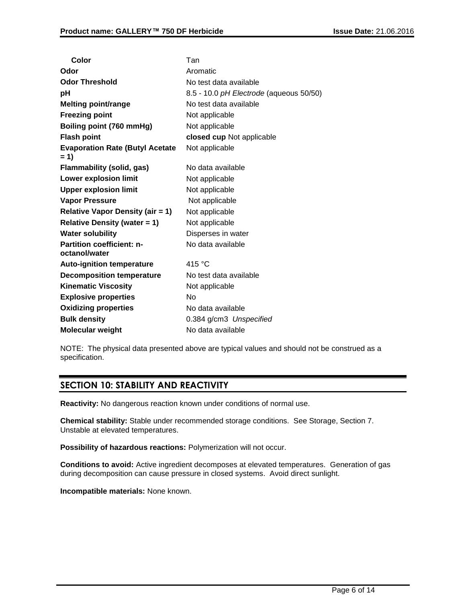| Color                                             | Tan                                     |
|---------------------------------------------------|-----------------------------------------|
| Odor                                              | Aromatic                                |
| <b>Odor Threshold</b>                             | No test data available                  |
| рH                                                | 8.5 - 10.0 pH Electrode (aqueous 50/50) |
| <b>Melting point/range</b>                        | No test data available                  |
| <b>Freezing point</b>                             | Not applicable                          |
| Boiling point (760 mmHg)                          | Not applicable                          |
| <b>Flash point</b>                                | closed cup Not applicable               |
| <b>Evaporation Rate (Butyl Acetate</b><br>= 1)    | Not applicable                          |
| Flammability (solid, gas)                         | No data available                       |
| <b>Lower explosion limit</b>                      | Not applicable                          |
| <b>Upper explosion limit</b>                      | Not applicable                          |
| <b>Vapor Pressure</b>                             | Not applicable                          |
| <b>Relative Vapor Density (air = 1)</b>           | Not applicable                          |
| <b>Relative Density (water = 1)</b>               | Not applicable                          |
| <b>Water solubility</b>                           | Disperses in water                      |
| <b>Partition coefficient: n-</b><br>octanol/water | No data available                       |
| <b>Auto-ignition temperature</b>                  | 415 °C                                  |
| <b>Decomposition temperature</b>                  | No test data available                  |
| <b>Kinematic Viscosity</b>                        | Not applicable                          |
| <b>Explosive properties</b>                       | No                                      |
| <b>Oxidizing properties</b>                       | No data available                       |
| <b>Bulk density</b>                               | 0.384 g/cm3 Unspecified                 |
| <b>Molecular weight</b>                           | No data available                       |
|                                                   |                                         |

NOTE: The physical data presented above are typical values and should not be construed as a specification.

# **SECTION 10: STABILITY AND REACTIVITY**

**Reactivity:** No dangerous reaction known under conditions of normal use.

**Chemical stability:** Stable under recommended storage conditions. See Storage, Section 7. Unstable at elevated temperatures.

**Possibility of hazardous reactions:** Polymerization will not occur.

**Conditions to avoid:** Active ingredient decomposes at elevated temperatures. Generation of gas during decomposition can cause pressure in closed systems. Avoid direct sunlight.

**Incompatible materials:** None known.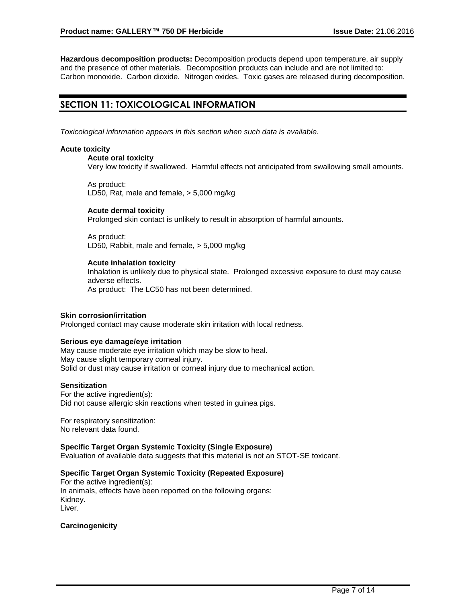**Hazardous decomposition products:** Decomposition products depend upon temperature, air supply and the presence of other materials. Decomposition products can include and are not limited to: Carbon monoxide. Carbon dioxide. Nitrogen oxides. Toxic gases are released during decomposition.

# **SECTION 11: TOXICOLOGICAL INFORMATION**

*Toxicological information appears in this section when such data is available.*

### **Acute toxicity**

### **Acute oral toxicity**

Very low toxicity if swallowed. Harmful effects not anticipated from swallowing small amounts.

As product: LD50, Rat, male and female, > 5,000 mg/kg

#### **Acute dermal toxicity**

Prolonged skin contact is unlikely to result in absorption of harmful amounts.

As product: LD50, Rabbit, male and female, > 5,000 mg/kg

#### **Acute inhalation toxicity**

Inhalation is unlikely due to physical state. Prolonged excessive exposure to dust may cause adverse effects. As product: The LC50 has not been determined.

#### **Skin corrosion/irritation**

Prolonged contact may cause moderate skin irritation with local redness.

### **Serious eye damage/eye irritation**

May cause moderate eye irritation which may be slow to heal. May cause slight temporary corneal injury. Solid or dust may cause irritation or corneal injury due to mechanical action.

### **Sensitization**

For the active ingredient(s): Did not cause allergic skin reactions when tested in guinea pigs.

For respiratory sensitization: No relevant data found.

### **Specific Target Organ Systemic Toxicity (Single Exposure)**

Evaluation of available data suggests that this material is not an STOT-SE toxicant.

### **Specific Target Organ Systemic Toxicity (Repeated Exposure)**

For the active ingredient(s): In animals, effects have been reported on the following organs: Kidney. Liver.

**Carcinogenicity**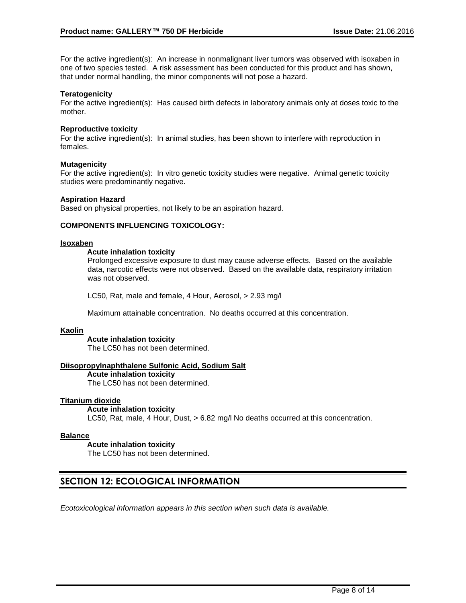For the active ingredient(s): An increase in nonmalignant liver tumors was observed with isoxaben in one of two species tested. A risk assessment has been conducted for this product and has shown, that under normal handling, the minor components will not pose a hazard.

### **Teratogenicity**

For the active ingredient(s): Has caused birth defects in laboratory animals only at doses toxic to the mother.

#### **Reproductive toxicity**

For the active ingredient(s): In animal studies, has been shown to interfere with reproduction in females.

#### **Mutagenicity**

For the active ingredient(s): In vitro genetic toxicity studies were negative. Animal genetic toxicity studies were predominantly negative.

#### **Aspiration Hazard**

Based on physical properties, not likely to be an aspiration hazard.

### **COMPONENTS INFLUENCING TOXICOLOGY:**

#### **Isoxaben**

#### **Acute inhalation toxicity**

Prolonged excessive exposure to dust may cause adverse effects. Based on the available data, narcotic effects were not observed. Based on the available data, respiratory irritation was not observed.

LC50, Rat, male and female, 4 Hour, Aerosol, > 2.93 mg/l

Maximum attainable concentration. No deaths occurred at this concentration.

#### **Kaolin**

**Acute inhalation toxicity** The LC50 has not been determined.

### **Diisopropylnaphthalene Sulfonic Acid, Sodium Salt**

**Acute inhalation toxicity** The LC50 has not been determined.

### **Titanium dioxide**

#### **Acute inhalation toxicity**

LC50, Rat, male, 4 Hour, Dust, > 6.82 mg/l No deaths occurred at this concentration.

#### **Balance**

**Acute inhalation toxicity**

The LC50 has not been determined.

## **SECTION 12: ECOLOGICAL INFORMATION**

*Ecotoxicological information appears in this section when such data is available.*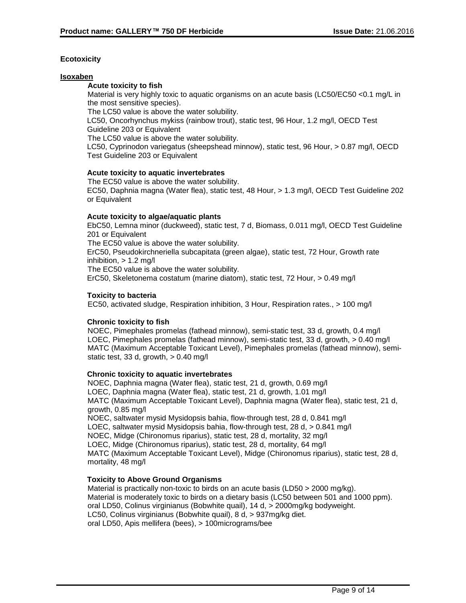### **Ecotoxicity**

### **Isoxaben**

### **Acute toxicity to fish**

Material is very highly toxic to aquatic organisms on an acute basis (LC50/EC50 <0.1 mg/L in the most sensitive species). The LC50 value is above the water solubility.

LC50, Oncorhynchus mykiss (rainbow trout), static test, 96 Hour, 1.2 mg/l, OECD Test Guideline 203 or Equivalent

The LC50 value is above the water solubility.

LC50, Cyprinodon variegatus (sheepshead minnow), static test, 96 Hour, > 0.87 mg/l, OECD Test Guideline 203 or Equivalent

#### **Acute toxicity to aquatic invertebrates**

The EC50 value is above the water solubility. EC50, Daphnia magna (Water flea), static test, 48 Hour, > 1.3 mg/l, OECD Test Guideline 202 or Equivalent

### **Acute toxicity to algae/aquatic plants**

EbC50, Lemna minor (duckweed), static test, 7 d, Biomass, 0.011 mg/l, OECD Test Guideline 201 or Equivalent The EC50 value is above the water solubility.

ErC50, Pseudokirchneriella subcapitata (green algae), static test, 72 Hour, Growth rate inhibition,  $> 1.2$  mg/l

The EC50 value is above the water solubility.

ErC50, Skeletonema costatum (marine diatom), static test, 72 Hour, > 0.49 mg/l

### **Toxicity to bacteria**

EC50, activated sludge, Respiration inhibition, 3 Hour, Respiration rates., > 100 mg/l

### **Chronic toxicity to fish**

NOEC, Pimephales promelas (fathead minnow), semi-static test, 33 d, growth, 0.4 mg/l LOEC, Pimephales promelas (fathead minnow), semi-static test, 33 d, growth,  $> 0.40$  mg/l MATC (Maximum Acceptable Toxicant Level), Pimephales promelas (fathead minnow), semistatic test, 33 d, growth, > 0.40 mg/l

### **Chronic toxicity to aquatic invertebrates**

NOEC, Daphnia magna (Water flea), static test, 21 d, growth, 0.69 mg/l LOEC, Daphnia magna (Water flea), static test, 21 d, growth, 1.01 mg/l MATC (Maximum Acceptable Toxicant Level), Daphnia magna (Water flea), static test, 21 d, growth, 0.85 mg/l NOEC, saltwater mysid Mysidopsis bahia, flow-through test, 28 d, 0.841 mg/l LOEC, saltwater mysid Mysidopsis bahia, flow-through test, 28 d, > 0.841 mg/l NOEC, Midge (Chironomus riparius), static test, 28 d, mortality, 32 mg/l LOEC, Midge (Chironomus riparius), static test, 28 d, mortality, 64 mg/l MATC (Maximum Acceptable Toxicant Level), Midge (Chironomus riparius), static test, 28 d, mortality, 48 mg/l

### **Toxicity to Above Ground Organisms**

Material is practically non-toxic to birds on an acute basis (LD50 > 2000 mg/kg). Material is moderately toxic to birds on a dietary basis (LC50 between 501 and 1000 ppm). oral LD50, Colinus virginianus (Bobwhite quail), 14 d, > 2000mg/kg bodyweight. LC50, Colinus virginianus (Bobwhite quail), 8 d, > 937mg/kg diet. oral LD50, Apis mellifera (bees), > 100micrograms/bee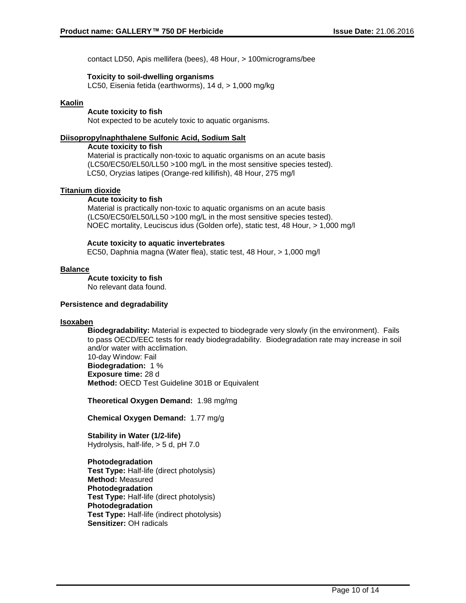contact LD50, Apis mellifera (bees), 48 Hour, > 100micrograms/bee

### **Toxicity to soil-dwelling organisms**

LC50, Eisenia fetida (earthworms), 14 d, > 1,000 mg/kg

### **Kaolin**

**Acute toxicity to fish** Not expected to be acutely toxic to aquatic organisms.

### **Diisopropylnaphthalene Sulfonic Acid, Sodium Salt**

#### **Acute toxicity to fish**

Material is practically non-toxic to aquatic organisms on an acute basis (LC50/EC50/EL50/LL50 >100 mg/L in the most sensitive species tested). LC50, Oryzias latipes (Orange-red killifish), 48 Hour, 275 mg/l

### **Titanium dioxide**

#### **Acute toxicity to fish**

Material is practically non-toxic to aquatic organisms on an acute basis (LC50/EC50/EL50/LL50 >100 mg/L in the most sensitive species tested). NOEC mortality, Leuciscus idus (Golden orfe), static test, 48 Hour, > 1,000 mg/l

### **Acute toxicity to aquatic invertebrates**

EC50, Daphnia magna (Water flea), static test, 48 Hour, > 1,000 mg/l

### **Balance**

**Acute toxicity to fish**

No relevant data found.

### **Persistence and degradability**

### **Isoxaben**

**Biodegradability:** Material is expected to biodegrade very slowly (in the environment). Fails to pass OECD/EEC tests for ready biodegradability. Biodegradation rate may increase in soil and/or water with acclimation. 10-day Window: Fail **Biodegradation:** 1 %

**Exposure time:** 28 d **Method:** OECD Test Guideline 301B or Equivalent

**Theoretical Oxygen Demand:** 1.98 mg/mg

**Chemical Oxygen Demand:** 1.77 mg/g

**Stability in Water (1/2-life)** Hydrolysis, half-life, > 5 d, pH 7.0

**Photodegradation Test Type:** Half-life (direct photolysis) **Method:** Measured **Photodegradation Test Type:** Half-life (direct photolysis) **Photodegradation Test Type:** Half-life (indirect photolysis) **Sensitizer:** OH radicals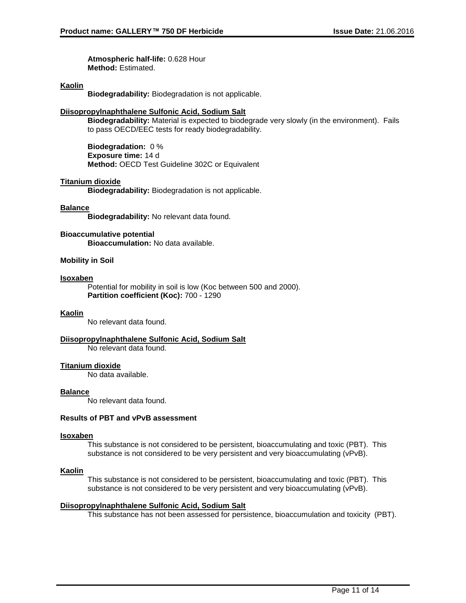**Atmospheric half-life:** 0.628 Hour **Method:** Estimated.

### **Kaolin**

**Biodegradability:** Biodegradation is not applicable.

### **Diisopropylnaphthalene Sulfonic Acid, Sodium Salt**

**Biodegradability:** Material is expected to biodegrade very slowly (in the environment). Fails to pass OECD/EEC tests for ready biodegradability.

**Biodegradation:** 0 % **Exposure time:** 14 d **Method:** OECD Test Guideline 302C or Equivalent

### **Titanium dioxide**

**Biodegradability:** Biodegradation is not applicable.

#### **Balance**

**Biodegradability:** No relevant data found.

**Bioaccumulative potential Bioaccumulation:** No data available.

### **Mobility in Soil**

#### **Isoxaben**

Potential for mobility in soil is low (Koc between 500 and 2000). **Partition coefficient (Koc):** 700 - 1290

### **Kaolin**

No relevant data found.

#### **Diisopropylnaphthalene Sulfonic Acid, Sodium Salt**

No relevant data found.

### **Titanium dioxide**

No data available.

### **Balance**

No relevant data found.

### **Results of PBT and vPvB assessment**

#### **Isoxaben**

This substance is not considered to be persistent, bioaccumulating and toxic (PBT). This substance is not considered to be very persistent and very bioaccumulating (vPvB).

#### **Kaolin**

This substance is not considered to be persistent, bioaccumulating and toxic (PBT). This substance is not considered to be very persistent and very bioaccumulating (vPvB).

### **Diisopropylnaphthalene Sulfonic Acid, Sodium Salt**

This substance has not been assessed for persistence, bioaccumulation and toxicity (PBT).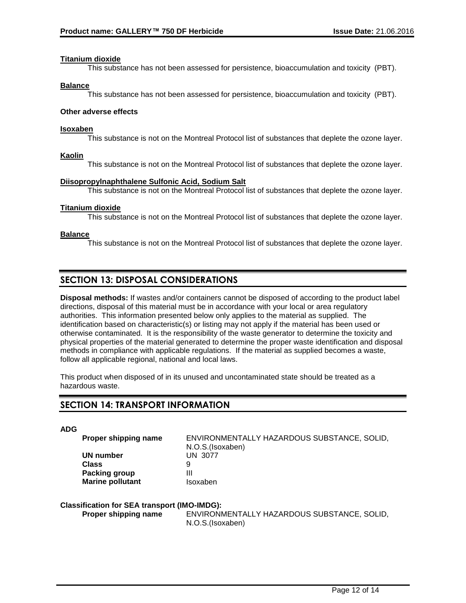### **Titanium dioxide**

This substance has not been assessed for persistence, bioaccumulation and toxicity (PBT).

### **Balance**

This substance has not been assessed for persistence, bioaccumulation and toxicity (PBT).

### **Other adverse effects**

### **Isoxaben**

This substance is not on the Montreal Protocol list of substances that deplete the ozone layer.

### **Kaolin**

This substance is not on the Montreal Protocol list of substances that deplete the ozone layer.

### **Diisopropylnaphthalene Sulfonic Acid, Sodium Salt**

This substance is not on the Montreal Protocol list of substances that deplete the ozone layer.

### **Titanium dioxide**

This substance is not on the Montreal Protocol list of substances that deplete the ozone layer.

### **Balance**

This substance is not on the Montreal Protocol list of substances that deplete the ozone layer.

# **SECTION 13: DISPOSAL CONSIDERATIONS**

**Disposal methods:** If wastes and/or containers cannot be disposed of according to the product label directions, disposal of this material must be in accordance with your local or area regulatory authorities. This information presented below only applies to the material as supplied. The identification based on characteristic(s) or listing may not apply if the material has been used or otherwise contaminated. It is the responsibility of the waste generator to determine the toxicity and physical properties of the material generated to determine the proper waste identification and disposal methods in compliance with applicable regulations. If the material as supplied becomes a waste, follow all applicable regional, national and local laws.

This product when disposed of in its unused and uncontaminated state should be treated as a hazardous waste.

# **SECTION 14: TRANSPORT INFORMATION**

**ADG**

**UN number** UN 3077 **Class** 9 **Packing group III Marine pollutant ISOXaben** 

**Proper shipping name** ENVIRONMENTALLY HAZARDOUS SUBSTANCE, SOLID, N.O.S.(Isoxaben)

### **Classification for SEA transport (IMO-IMDG):**

**Proper shipping name** ENVIRONMENTALLY HAZARDOUS SUBSTANCE, SOLID, N.O.S.(Isoxaben)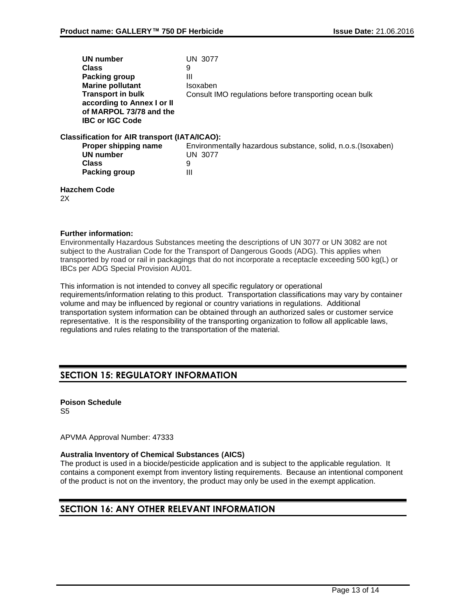|    | UN number                                            | UN 3077                                                       |
|----|------------------------------------------------------|---------------------------------------------------------------|
|    | Class                                                | 9                                                             |
|    | Packing group                                        | Ш                                                             |
|    | <b>Marine pollutant</b>                              | Isoxaben                                                      |
|    | <b>Transport in bulk</b>                             | Consult IMO regulations before transporting ocean bulk        |
|    | according to Annex I or II                           |                                                               |
|    | of MARPOL 73/78 and the                              |                                                               |
|    | <b>IBC or IGC Code</b>                               |                                                               |
|    | <b>Classification for AIR transport (IATA/ICAO):</b> |                                                               |
|    | Proper shipping name                                 | Environmentally hazardous substance, solid, n.o.s. (Isoxaben) |
|    | <b>UN number</b>                                     | UN 3077                                                       |
|    | <b>Class</b>                                         | 9                                                             |
|    | Packing group                                        | Ш                                                             |
| 2X | <b>Hazchem Code</b>                                  |                                                               |
|    |                                                      |                                                               |

### **Further information:**

Environmentally Hazardous Substances meeting the descriptions of UN 3077 or UN 3082 are not subject to the Australian Code for the Transport of Dangerous Goods (ADG). This applies when transported by road or rail in packagings that do not incorporate a receptacle exceeding 500 kg(L) or IBCs per ADG Special Provision AU01.

This information is not intended to convey all specific regulatory or operational requirements/information relating to this product. Transportation classifications may vary by container volume and may be influenced by regional or country variations in regulations. Additional transportation system information can be obtained through an authorized sales or customer service representative. It is the responsibility of the transporting organization to follow all applicable laws, regulations and rules relating to the transportation of the material.

# **SECTION 15: REGULATORY INFORMATION**

# **Poison Schedule**

S5

APVMA Approval Number: 47333

### **Australia Inventory of Chemical Substances (AICS)**

The product is used in a biocide/pesticide application and is subject to the applicable regulation. It contains a component exempt from inventory listing requirements. Because an intentional component of the product is not on the inventory, the product may only be used in the exempt application.

# **SECTION 16: ANY OTHER RELEVANT INFORMATION**